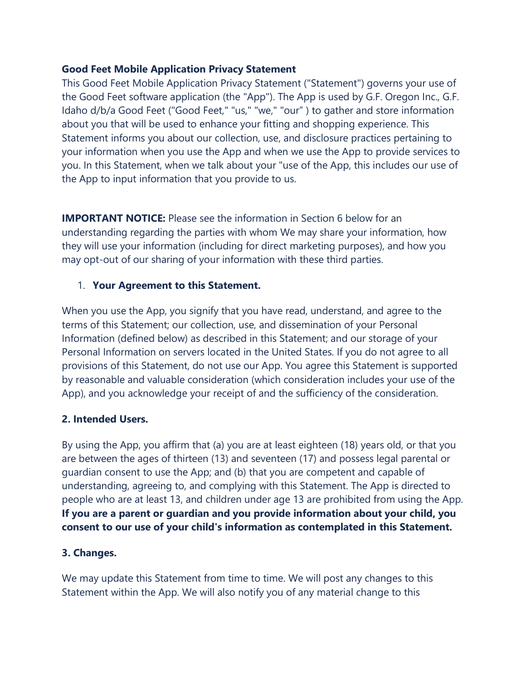# **Good Feet Mobile Application Privacy Statement**

This Good Feet Mobile Application Privacy Statement ("Statement") governs your use of the Good Feet software application (the "App"). The App is used by G.F. Oregon Inc., G.F. Idaho d/b/a Good Feet ("Good Feet," "us," "we," "our" ) to gather and store information about you that will be used to enhance your fitting and shopping experience. This Statement informs you about our collection, use, and disclosure practices pertaining to your information when you use the App and when we use the App to provide services to you. In this Statement, when we talk about your "use of the App, this includes our use of the App to input information that you provide to us.

**IMPORTANT NOTICE:** Please see the information in Section 6 below for an understanding regarding the parties with whom We may share your information, how they will use your information (including for direct marketing purposes), and how you may opt-out of our sharing of your information with these third parties.

# 1. **Your Agreement to this Statement.**

When you use the App, you signify that you have read, understand, and agree to the terms of this Statement; our collection, use, and dissemination of your Personal Information (defined below) as described in this Statement; and our storage of your Personal Information on servers located in the United States. If you do not agree to all provisions of this Statement, do not use our App. You agree this Statement is supported by reasonable and valuable consideration (which consideration includes your use of the App), and you acknowledge your receipt of and the sufficiency of the consideration.

#### **2. Intended Users.**

By using the App, you affirm that (a) you are at least eighteen (18) years old, or that you are between the ages of thirteen (13) and seventeen (17) and possess legal parental or guardian consent to use the App; and (b) that you are competent and capable of understanding, agreeing to, and complying with this Statement. The App is directed to people who are at least 13, and children under age 13 are prohibited from using the App. **If you are a parent or guardian and you provide information about your child, you consent to our use of your child's information as contemplated in this Statement.**

# **3. Changes.**

We may update this Statement from time to time. We will post any changes to this Statement within the App. We will also notify you of any material change to this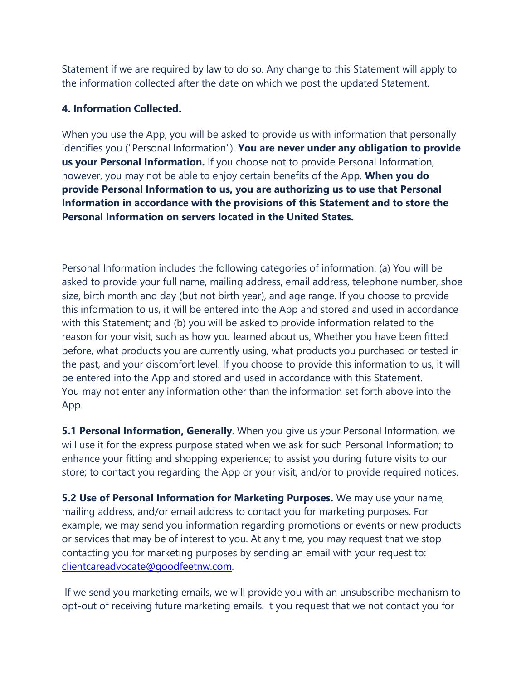Statement if we are required by law to do so. Any change to this Statement will apply to the information collected after the date on which we post the updated Statement.

### **4. Information Collected.**

When you use the App, you will be asked to provide us with information that personally identifies you ("Personal Information"). **You are never under any obligation to provide us your Personal Information.** If you choose not to provide Personal Information, however, you may not be able to enjoy certain benefits of the App. **When you do provide Personal Information to us, you are authorizing us to use that Personal Information in accordance with the provisions of this Statement and to store the Personal Information on servers located in the United States.** 

Personal Information includes the following categories of information: (a) You will be asked to provide your full name, mailing address, email address, telephone number, shoe size, birth month and day (but not birth year), and age range. If you choose to provide this information to us, it will be entered into the App and stored and used in accordance with this Statement; and (b) you will be asked to provide information related to the reason for your visit, such as how you learned about us, Whether you have been fitted before, what products you are currently using, what products you purchased or tested in the past, and your discomfort level. If you choose to provide this information to us, it will be entered into the App and stored and used in accordance with this Statement. You may not enter any information other than the information set forth above into the App.

**5.1 Personal Information, Generally**. When you give us your Personal Information, we will use it for the express purpose stated when we ask for such Personal Information; to enhance your fitting and shopping experience; to assist you during future visits to our store; to contact you regarding the App or your visit, and/or to provide required notices.

**5.2 Use of Personal Information for Marketing Purposes.** We may use your name, mailing address, and/or email address to contact you for marketing purposes. For example, we may send you information regarding promotions or events or new products or services that may be of interest to you. At any time, you may request that we stop contacting you for marketing purposes by sending an email with your request to: [clientcareadvocate@goodfeetnw.com.](mailto:clientcareadvocate@goodfeetnw.com)

If we send you marketing emails, we will provide you with an unsubscribe mechanism to opt-out of receiving future marketing emails. It you request that we not contact you for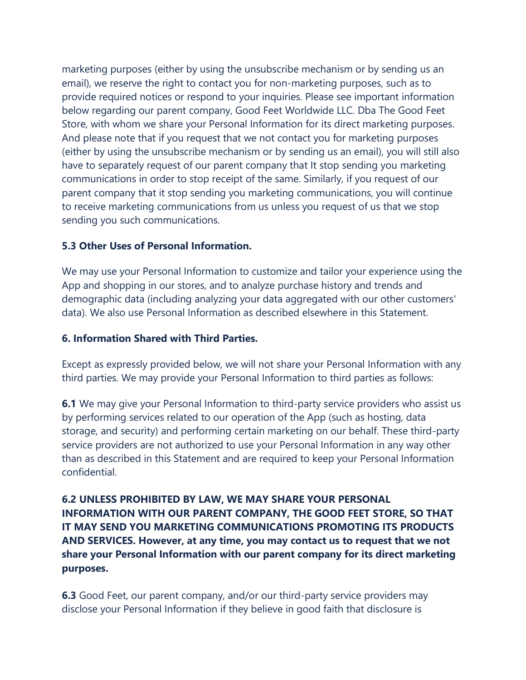marketing purposes (either by using the unsubscribe mechanism or by sending us an email), we reserve the right to contact you for non-marketing purposes, such as to provide required notices or respond to your inquiries. Please see important information below regarding our parent company, Good Feet Worldwide LLC. Dba The Good Feet Store, with whom we share your Personal Information for its direct marketing purposes. And please note that if you request that we not contact you for marketing purposes (either by using the unsubscribe mechanism or by sending us an email), you will still also have to separately request of our parent company that It stop sending you marketing communications in order to stop receipt of the same. Similarly, if you request of our parent company that it stop sending you marketing communications, you will continue to receive marketing communications from us unless you request of us that we stop sending you such communications.

# **5.3 Other Uses of Personal Information.**

We may use your Personal Information to customize and tailor your experience using the App and shopping in our stores, and to analyze purchase history and trends and demographic data (including analyzing your data aggregated with our other customers' data). We also use Personal Information as described elsewhere in this Statement.

### **6. Information Shared with Third Parties.**

Except as expressly provided below, we will not share your Personal Information with any third parties. We may provide your Personal Information to third parties as follows:

**6.1** We may give your Personal Information to third-party service providers who assist us by performing services related to our operation of the App (such as hosting, data storage, and security) and performing certain marketing on our behalf. These third-party service providers are not authorized to use your Personal Information in any way other than as described in this Statement and are required to keep your Personal Information confidential.

**6.2 UNLESS PROHIBITED BY LAW, WE MAY SHARE YOUR PERSONAL INFORMATION WITH OUR PARENT COMPANY, THE GOOD FEET STORE, SO THAT IT MAY SEND YOU MARKETING COMMUNICATIONS PROMOTING ITS PRODUCTS AND SERVICES. However, at any time, you may contact us to request that we not share your Personal Information with our parent company for its direct marketing purposes.**

**6.3** Good Feet, our parent company, and/or our third-party service providers may disclose your Personal Information if they believe in good faith that disclosure is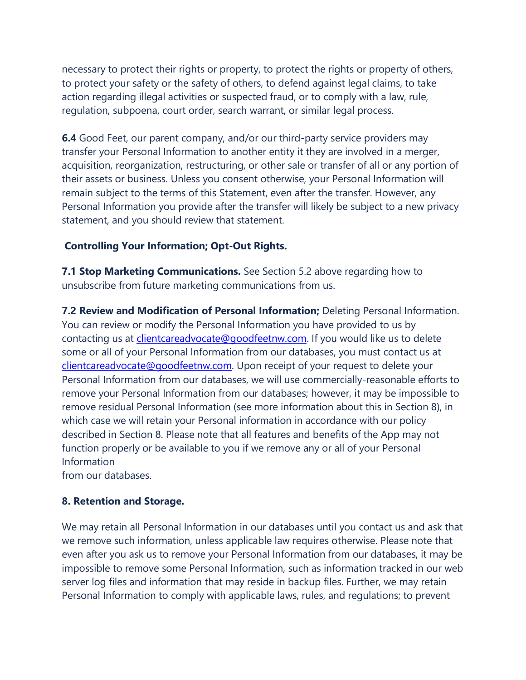necessary to protect their rights or property, to protect the rights or property of others, to protect your safety or the safety of others, to defend against legal claims, to take action regarding illegal activities or suspected fraud, or to comply with a law, rule, regulation, subpoena, court order, search warrant, or similar legal process.

**6.4** Good Feet, our parent company, and/or our third-party service providers may transfer your Personal Information to another entity it they are involved in a merger, acquisition, reorganization, restructuring, or other sale or transfer of all or any portion of their assets or business. Unless you consent otherwise, your Personal Information will remain subject to the terms of this Statement, even after the transfer. However, any Personal Information you provide after the transfer will likely be subject to a new privacy statement, and you should review that statement.

#### **Controlling Your Information; Opt-Out Rights.**

**7.1 Stop Marketing Communications.** See Section 5.2 above regarding how to unsubscribe from future marketing communications from us.

**7.2 Review and Modification of Personal Information;** Deleting Personal Information. You can review or modify the Personal Information you have provided to us by contacting us at *clientcareadvocate@goodfeetnw.com*. If you would like us to delete some or all of your Personal Information from our databases, you must contact us at [clientcareadvocate@goodfeetnw.com.](mailto:clientcareadvocate@goodfeetnw.com) Upon receipt of your request to delete your Personal Information from our databases, we will use commercially-reasonable efforts to remove your Personal Information from our databases; however, it may be impossible to remove residual Personal Information (see more information about this in Section 8), in which case we will retain your Personal information in accordance with our policy described in Section 8. Please note that all features and benefits of the App may not function properly or be available to you if we remove any or all of your Personal Information from our databases.

**8. Retention and Storage.**

We may retain all Personal Information in our databases until you contact us and ask that we remove such information, unless applicable law requires otherwise. Please note that even after you ask us to remove your Personal Information from our databases, it may be impossible to remove some Personal Information, such as information tracked in our web server log files and information that may reside in backup files. Further, we may retain Personal Information to comply with applicable laws, rules, and regulations; to prevent